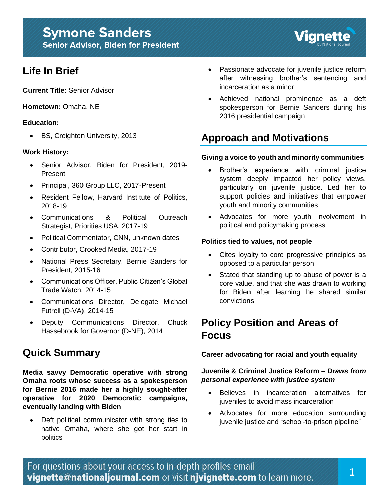## **Symone Sanders Senior Advisor, Biden for President**

# **Life In Brief**

**Current Title:** Senior Advisor

**Hometown:** Omaha, NE

### **Education:**

BS, Creighton University, 2013

### **Work History:**

- Senior Advisor, Biden for President, 2019- Present
- Principal, 360 Group LLC, 2017-Present
- Resident Fellow, Harvard Institute of Politics, 2018-19
- Communications & Political Outreach Strategist, Priorities USA, 2017-19
- Political Commentator, CNN, unknown dates
- Contributor, Crooked Media, 2017-19
- National Press Secretary, Bernie Sanders for President, 2015-16
- Communications Officer, Public Citizen's Global Trade Watch, 2014-15
- Communications Director, Delegate Michael Futrell (D-VA), 2014-15
- Deputy Communications Director, Chuck Hassebrook for Governor (D-NE), 2014

# **Quick Summary**

**Media savvy Democratic operative with strong Omaha roots whose success as a spokesperson for Bernie 2016 made her a highly sought-after operative for 2020 Democratic campaigns, eventually landing with Biden**

• Deft political communicator with strong ties to native Omaha, where she got her start in politics

- Passionate advocate for juvenile justice reform after witnessing brother's sentencing and incarceration as a minor
- Achieved national prominence as a deft spokesperson for Bernie Sanders during his 2016 presidential campaign

# **Approach and Motivations**

### **Giving a voice to youth and minority communities**

- Brother's experience with criminal justice system deeply impacted her policy views, particularly on juvenile justice. Led her to support policies and initiatives that empower youth and minority communities
- Advocates for more youth involvement in political and policymaking process

### **Politics tied to values, not people**

- Cites loyalty to core progressive principles as opposed to a particular person
- Stated that standing up to abuse of power is a core value, and that she was drawn to working for Biden after learning he shared similar convictions

## **Policy Position and Areas of Focus**

### **Career advocating for racial and youth equality**

### **Juvenile & Criminal Justice Reform –** *Draws from personal experience with justice system*

- Believes in incarceration alternatives for juveniles to avoid mass incarceration
- Advocates for more education surrounding juvenile justice and "school-to-prison pipeline"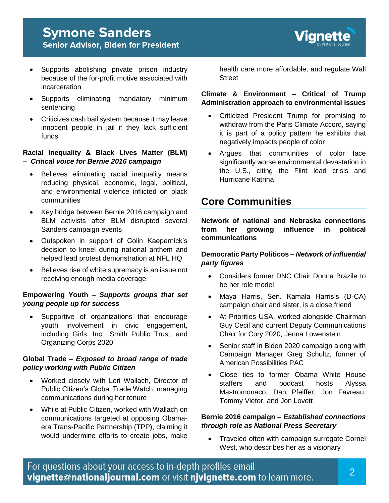- Supports abolishing private prison industry because of the for-profit motive associated with incarceration
- Supports eliminating mandatory minimum sentencing
- Criticizes cash bail system because it may leave innocent people in jail if they lack sufficient funds

#### **Racial Inequality & Black Lives Matter (BLM) –** *Critical voice for Bernie 2016 campaign*

- Believes eliminating racial inequality means reducing physical, economic, legal, political, and environmental violence inflicted on black communities
- Key bridge between Bernie 2016 campaign and BLM activists after BLM disrupted several Sanders campaign events
- Outspoken in support of Colin Kaepernick's decision to kneel during national anthem and helped lead protest demonstration at NFL HQ
- Believes rise of white supremacy is an issue not receiving enough media coverage

#### **Empowering Youth –** *Supports groups that set young people up for success*

 Supportive of organizations that encourage youth involvement in civic engagement, including Girls, Inc., Smith Public Trust, and Organizing Corps 2020

### **Global Trade –** *Exposed to broad range of trade policy working with Public Citizen*

- Worked closely with Lori Wallach, Director of Public Citizen's Global Trade Watch, managing communications during her tenure
- While at Public Citizen, worked with Wallach on communications targeted at opposing Obamaera Trans-Pacific Partnership (TPP), claiming it would undermine efforts to create jobs, make

health care more affordable, and regulate Wall **Street** 

## **Climate & Environment – Critical of Trump Administration approach to environmental issues**

- Criticized President Trump for promising to withdraw from the Paris Climate Accord, saying it is part of a policy pattern he exhibits that negatively impacts people of color
- Argues that communities of color face significantly worse environmental devastation in the U.S., citing the Flint lead crisis and Hurricane Katrina

# **Core Communities**

**Network of national and Nebraska connections from her growing influence in political communications**

### **Democratic Party Politicos –** *Network of influential party figures*

- Considers former DNC Chair Donna Brazile to be her role model
- Maya Harris, Sen. Kamala Harris's (D-CA) campaign chair and sister, is a close friend
- At Priorities USA, worked alongside Chairman Guy Cecil and current Deputy Communications Chair for Cory 2020, Jenna Lowenstein
- Senior staff in Biden 2020 campaign along with Campaign Manager Greg Schultz, former of American Possibilities PAC
- Close ties to former Obama White House staffers and podcast hosts Alyssa Mastromonaco, Dan Pfeiffer, Jon Favreau, Tommy Vietor, and Jon Lovett

### **Bernie 2016 campaign –** *Established connections through role as National Press Secretary*

• Traveled often with campaign surrogate Cornel West, who describes her as a visionary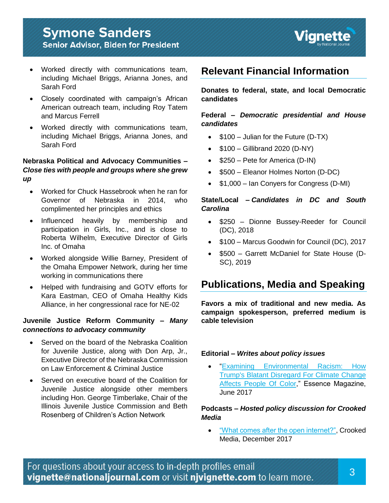

- Worked directly with communications team, including Michael Briggs, Arianna Jones, and Sarah Ford
- Closely coordinated with campaign's African American outreach team, including Roy Tatem and Marcus Ferrell
- Worked directly with communications team, including Michael Briggs, Arianna Jones, and Sarah Ford

### **Nebraska Political and Advocacy Communities –** *Close ties with people and groups where she grew up*

- Worked for Chuck Hassebrook when he ran for Governor of Nebraska in 2014, who complimented her principles and ethics
- Influenced heavily by membership and participation in Girls, Inc., and is close to Roberta Wilhelm, Executive Director of Girls Inc. of Omaha
- Worked alongside Willie Barney, President of the Omaha Empower Network, during her time working in communications there
- Helped with fundraising and GOTV efforts for Kara Eastman, CEO of Omaha Healthy Kids Alliance, in her congressional race for NE-02

## **Juvenile Justice Reform Community –** *Many connections to advocacy community*

- Served on the board of the Nebraska Coalition for Juvenile Justice, along with Don Arp, Jr., Executive Director of the Nebraska Commission on Law Enforcement & Criminal Justice
- Served on executive board of the Coalition for Juvenile Justice alongside other members including Hon. George Timberlake, Chair of the Illinois Juvenile Justice Commission and Beth Rosenberg of Children's Action Network

## **Relevant Financial Information**

### **Donates to federal, state, and local Democratic candidates**

## **Federal –** *Democratic presidential and House candidates*

- $\bullet$  \$100 Julian for the Future (D-TX)
- $\bullet$  \$100 Gillibrand 2020 (D-NY)
- $\bullet$  \$250 Pete for America (D-IN)
- \$500 Eleanor Holmes Norton (D-DC)
- \$1,000 Ian Conyers for Congress (D-MI)

## **State/Local –** *Candidates in DC and South Carolina*

- \$250 Dionne Bussey-Reeder for Council (DC), 2018
- \$100 Marcus Goodwin for Council (DC), 2017
- \$500 Garrett McDaniel for State House (D-SC), 2019

## **Publications, Media and Speaking**

**Favors a mix of traditional and new media. As campaign spokesperson, preferred medium is cable television**

### **Editorial –** *Writes about policy issues*

 ["Examining Environmental Racism: How](https://www.essence.com/news/politics/trump-paris-climate-accord-environmental-racism-black-people/)  [Trump's Blatant Disregard For Climate Change](https://www.essence.com/news/politics/trump-paris-climate-accord-environmental-racism-black-people/)  [Affects People Of Color,](https://www.essence.com/news/politics/trump-paris-climate-accord-environmental-racism-black-people/)" Essence Magazine, June 2017

## **Podcasts –** *Hosted policy discussion for Crooked Media*

 ["What comes after the open internet?",](https://crooked.com/podcast/comes-open-internet/?fbclid=IwAR1jZkB06EQJaZz69U97Ed_buTy62zEuvY84yZW_u4zg5tXmRoZrF3nqK0A) Crooked Media, December 2017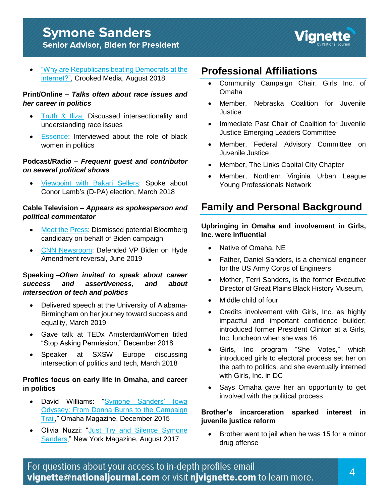## **Symone Sanders Senior Advisor, Biden for President**



 ["Why are Republicans beating Democrats at the](https://podcasts.apple.com/ee/podcast/why-are-republicans-beating-democrats-at-the-internet/id1292665011?i=1000409788602)  [internet?",](https://podcasts.apple.com/ee/podcast/why-are-republicans-beating-democrats-at-the-internet/id1292665011?i=1000409788602) Crooked Media, August 2018

### **Print/Online –** *Talks often about race issues and her career in politics*

- [Truth & Iliza:](https://www.youtube.com/watch?v=SfFzY3SJkmE) Discussed intersectionality and understanding race issues
- **[Essence:](https://www.essence.com/news/black-women-politics-sisterhood/)** Interviewed about the role of black women in politics

### **Podcast/Radio –** *Frequent guest and contributor on several political shows*

 [Viewpoint with Bakari Sellers:](https://omny.fm/shows/viewpoint-with-bakari-sellers/vp-031918) Spoke about Conor Lamb's (D-PA) election, March 2018

### **Cable Television –** *Appears as spokesperson and political commentator*

- [Meet the Press:](https://www.msnbc.com/mtp-daily/watch/symone-sanders-we-are-not-concerned-by-bloomberg-s-candidacy-73165381909) Dismissed potential Bloomberg candidacy on behalf of Biden campaign
- [CNN Newsroom:](https://www.realclearpolitics.com/video/2019/06/07/symone_sanders_biden_is_authentic_voters_know_who_he_is.html) Defended VP Biden on Hyde Amendment reversal, June 2019

### **Speaking –***Often invited to speak about career success and assertiveness, and about intersection of tech and politics*

- Delivered speech at the University of Alabama-Birmingham on her journey toward success and equality, March 2019
- Gave talk at TEDx AmsterdamWomen titled "Stop Asking Permission," December 2018
- Speaker at SXSW Europe discussing intersection of politics and tech, March 2018

### **Profiles focus on early life in Omaha, and career in politics**

- David Williams: ["Symone Sanders' Iowa](https://omahamagazine.com/articles/symone-sanders-iowa-odyssey/)  [Odyssey: From Donna Burns to the Campaign](https://omahamagazine.com/articles/symone-sanders-iowa-odyssey/)  [Trail,](https://omahamagazine.com/articles/symone-sanders-iowa-odyssey/)" Omaha Magazine, December 2015
- Olivia Nuzzi: "Just Try and Silence Symone [Sanders,](https://www.thecut.com/2017/08/symone-sanders-cnn-interview-trump-racism-charlottesville.html?utm_source=fb&utm_medium=s3&utm_campaign=sharebutton-t&fbclid=IwAR0uXxEkYqnib3heL-QFEMAKaKlxUJgXsY5LBbEqiCWBRAAwARHO46UPSng)" New York Magazine, August 2017

## **Professional Affiliations**

- Community Campaign Chair, Girls Inc. of Omaha
- Member, Nebraska Coalition for Juvenile **Justice**
- Immediate Past Chair of Coalition for Juvenile Justice Emerging Leaders Committee
- Member, Federal Advisory Committee on Juvenile Justice
- Member, The Links Capital City Chapter
- Member, Northern Virginia Urban League Young Professionals Network

## **Family and Personal Background**

### **Upbringing in Omaha and involvement in Girls, Inc. were influential**

- Native of Omaha, NE
- Father, Daniel Sanders, is a chemical engineer for the US Army Corps of Engineers
- Mother, Terri Sanders, is the former Executive Director of Great Plains Black History Museum,
- Middle child of four
- Credits involvement with Girls, Inc. as highly impactful and important confidence builder; introduced former President Clinton at a Girls, Inc. luncheon when she was 16
- Girls, Inc program "She Votes," which introduced girls to electoral process set her on the path to politics, and she eventually interned with Girls, Inc. in DC
- Says Omaha gave her an opportunity to get involved with the political process

## **Brother's incarceration sparked interest in juvenile justice reform**

 Brother went to jail when he was 15 for a minor drug offense